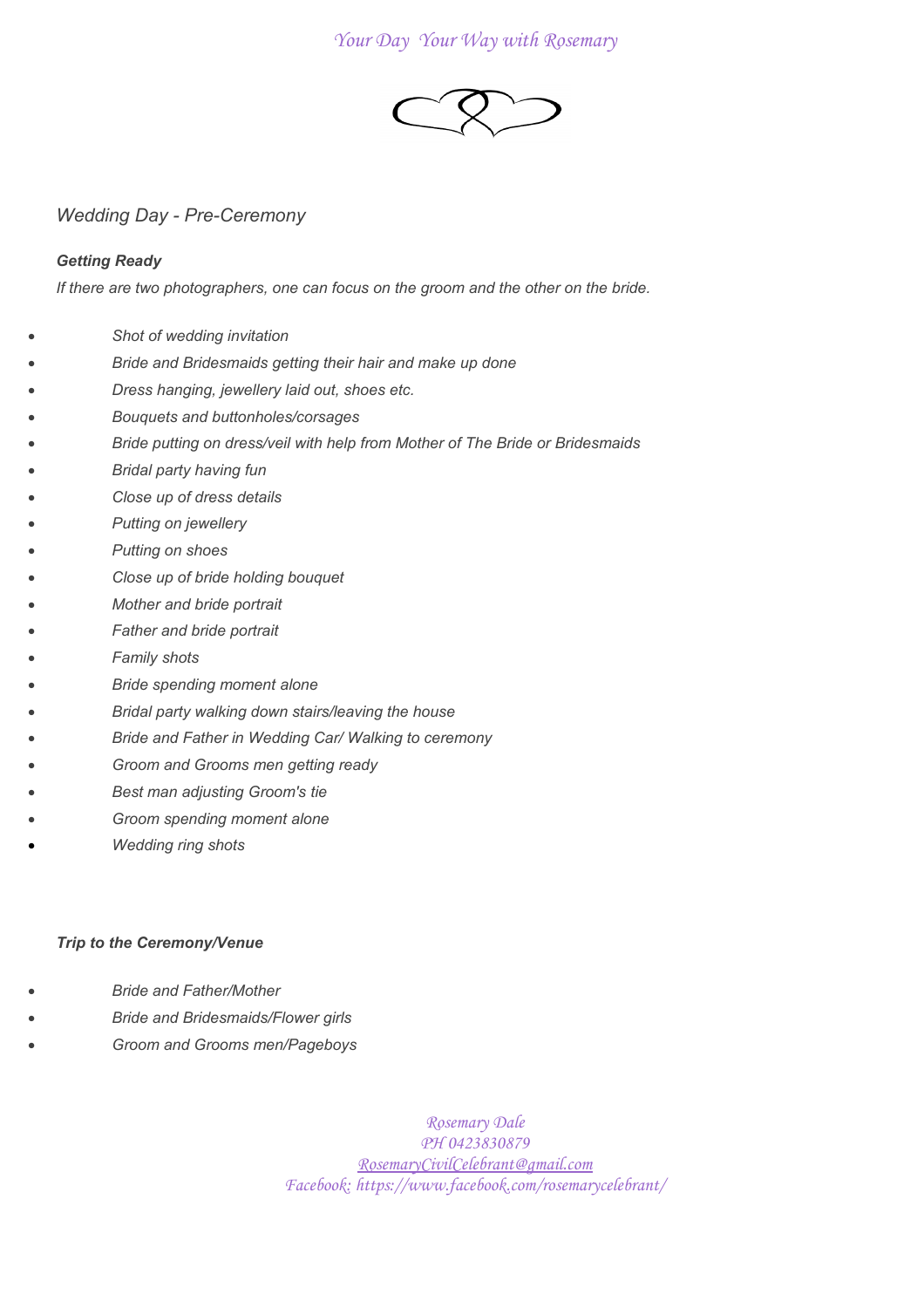# *Your Day Your Way with Rosemary*



*Wedding Day - Pre-Ceremony*

# *Getting Ready*

*If there are two photographers, one can focus on the groom and the other on the bride.*

- *Shot of wedding invitation*
- *Bride and Bridesmaids getting their hair and make up done*
- *Dress hanging, jewellery laid out, shoes etc.*
- *Bouquets and buttonholes/corsages*
- *Bride putting on dress/veil with help from Mother of The Bride or Bridesmaids*
- *Bridal party having fun*
- *Close up of dress details*
- *Putting on jewellery*
- *Putting on shoes*
- *Close up of bride holding bouquet*
- *Mother and bride portrait*
- *Father and bride portrait*
- *Family shots*
- *Bride spending moment alone*
- *Bridal party walking down stairs/leaving the house*
- *Bride and Father in Wedding Car/ Walking to ceremony*
- *Groom and Grooms men getting ready*
- *Best man adjusting Groom's tie*
- *Groom spending moment alone*
- *Wedding ring shots*

# *Trip to the Ceremony/Venue*

- *Bride and Father/Mother*
- *Bride and Bridesmaids/Flower girls*
- *Groom and Grooms men/Pageboys*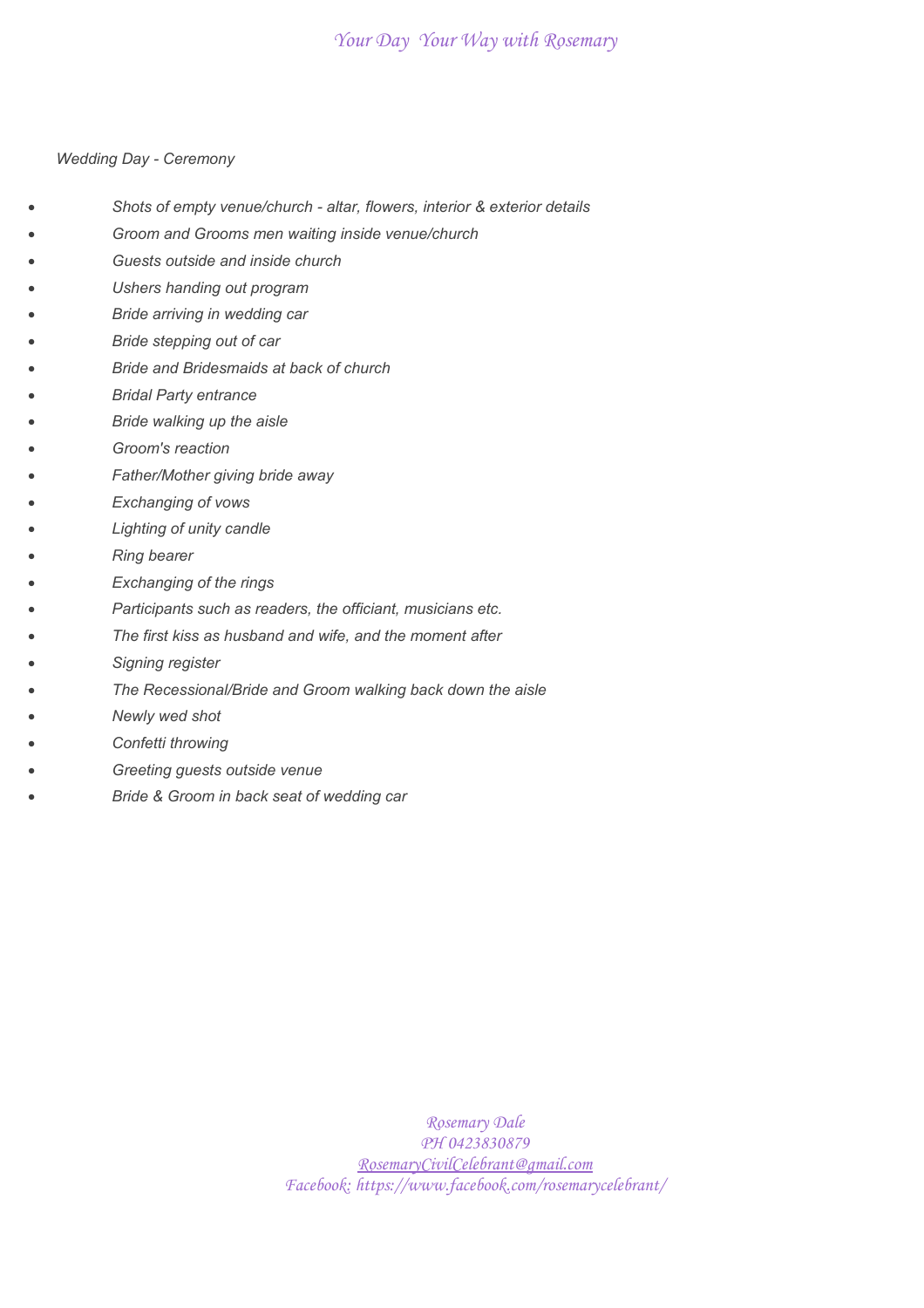# *Your Day Your Way with Rosemary*

#### *Wedding Day - Ceremony*

- *Shots of empty venue/church altar, flowers, interior & exterior details*
- *Groom and Grooms men waiting inside venue/church*
- *Guests outside and inside church*
- *Ushers handing out program*
- *Bride arriving in wedding car*
- *Bride stepping out of car*
- *Bride and Bridesmaids at back of church*
- *Bridal Party entrance*
- *Bride walking up the aisle*
- *Groom's reaction*
- *Father/Mother giving bride away*
- *Exchanging of vows*
- *Lighting of unity candle*
- *Ring bearer*
- *Exchanging of the rings*
- *Participants such as readers, the officiant, musicians etc.*
- *The first kiss as husband and wife, and the moment after*
- *Signing register*
- *The Recessional/Bride and Groom walking back down the aisle*
- *Newly wed shot*
- *Confetti throwing*
- *Greeting guests outside venue*
- *Bride & Groom in back seat of wedding car*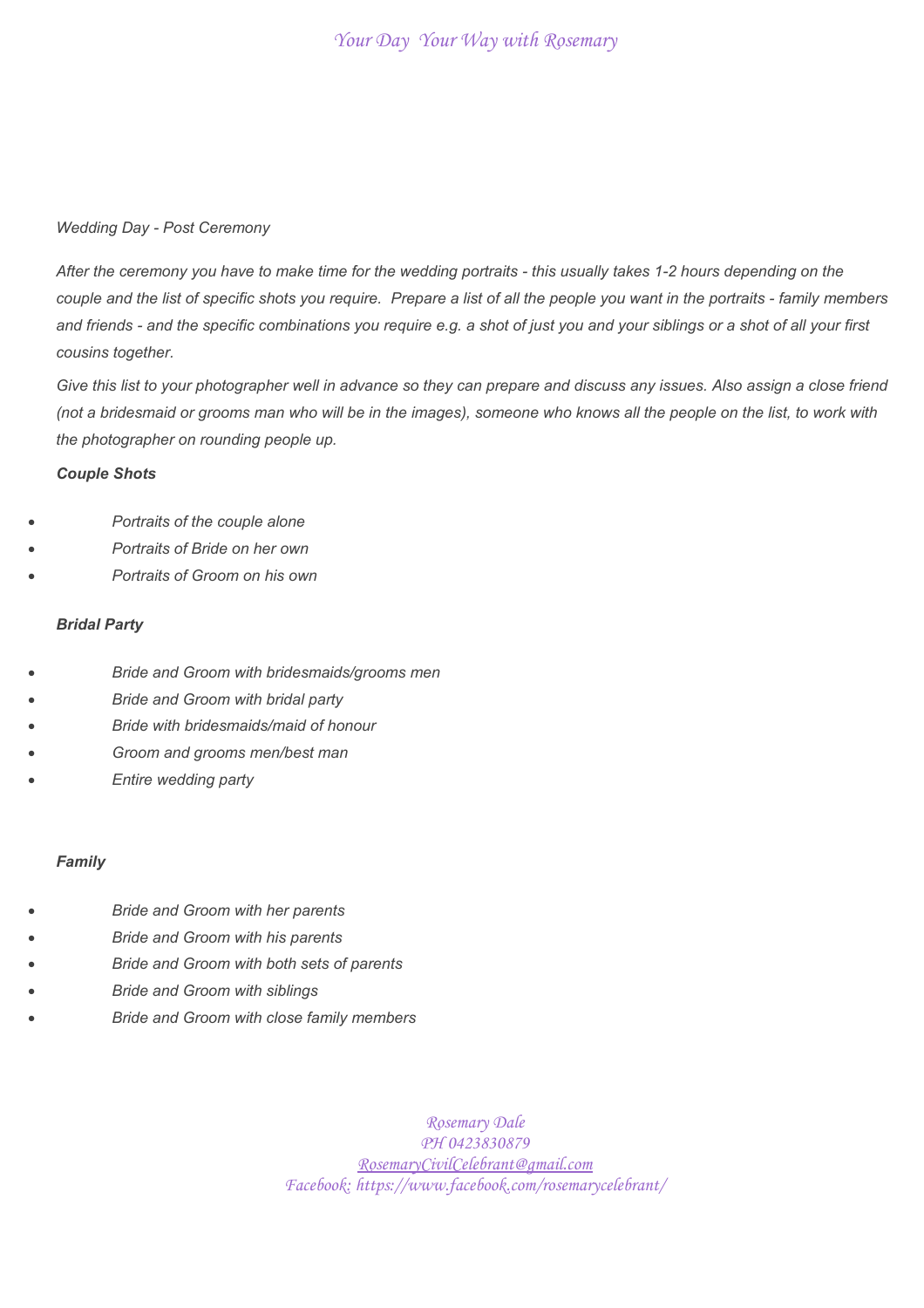### *Wedding Day - Post Ceremony*

*After the ceremony you have to make time for the wedding portraits - this usually takes 1-2 hours depending on the couple and the list of specific shots you require. Prepare a list of all the people you want in the portraits - family members and friends - and the specific combinations you require e.g. a shot of just you and your siblings or a shot of all your first cousins together.*

*Give this list to your photographer well in advance so they can prepare and discuss any issues. Also assign a close friend (not a bridesmaid or grooms man who will be in the images), someone who knows all the people on the list, to work with the photographer on rounding people up.*

### *Couple Shots*

- *Portraits of the couple alone*
- *Portraits of Bride on her own*
- *Portraits of Groom on his own*

## *Bridal Party*

- *Bride and Groom with bridesmaids/grooms men*
- *Bride and Groom with bridal party*
- *Bride with bridesmaids/maid of honour*
- *Groom and grooms men/best man*
- *Entire wedding party*

#### *Family*

- *Bride and Groom with her parents*
- *Bride and Groom with his parents*
- *Bride and Groom with both sets of parents*
- *Bride and Groom with siblings*
- *Bride and Groom with close family members*